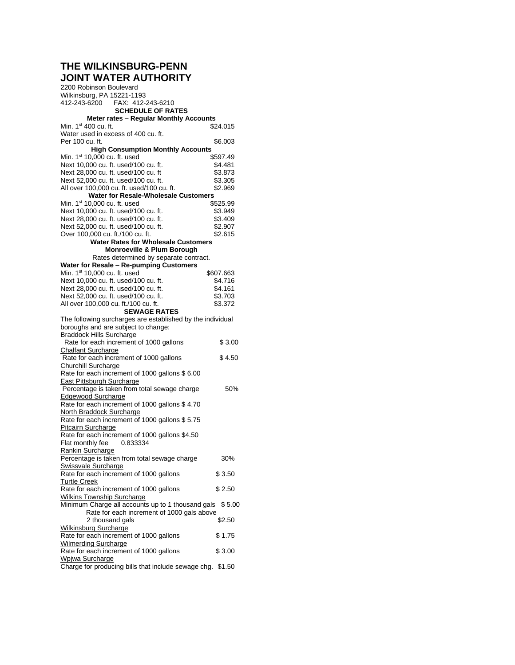# **THE WILKINSBURG-PENN JOINT WATER AUTHORITY**

2200 Robinson Boulevard Wilkinsburg, PA 15221-1193<br>412-243-6200 FAX: 412-2 412-243-6200 FAX: 412-243-6210 **SCHEDULE OF RATES Meter rates – Regular Monthly Accounts** Min.  $1<sup>st</sup>$  400 cu. ft. Water used in excess of 400 cu. ft. Per 100 cu. ft. \$6.003 **High Consumption Monthly Accounts** Min. 1<sup>st</sup> 10,000 cu. ft. used **\$597.49**<br>Next 10,000 cu. ft. used/100 cu. ft. \$4.481 Next  $10.000$  cu. ft. used/ $100$  cu. ft. Next 28,000 cu. ft. used/100 cu. ft \$3.873<br>Next 52,000 cu. ft. used/100 cu. ft. \$3.305 Next 52,000 cu. ft. used/100 cu. ft. \$3.305<br>All over 100,000 cu. ft. used/100 cu. ft. \$2,969 All over 100,000 cu. ft. used/100 cu. ft. **Water for Resale-Wholesale Customers** Min. 1<sup>st</sup> 10,000 cu. ft. used \$525.99 Next 10,000 cu. ft. used/100 cu. ft. \$3.949<br>Next 28,000 cu. ft. used/100 cu. ft. \$3.409 Next 28,000 cu. ft. used/100 cu. ft. \$3.409<br>Next 52,000 cu. ft. used/100 cu. ft. \$2.907 Next 52,000 cu. ft. used/100 cu. ft. Over 100,000 cu. ft./100 cu. ft. \$2.615 **Water Rates for Wholesale Customers Monroeville & Plum Borough** Rates determined by separate contract. **Water for Resale – Re-pumping Customers** Min. 1<sup>st</sup> 10,000 cu. ft. used \$607.663 Next 10,000 cu. ft. used/100 cu. ft. \$4.716 Next 28,000 cu. ft. used/100 cu. ft.  $$4.161$ Next 52,000 cu. ft. used/100 cu. ft. \$3.703<br>All over 100,000 cu. ft./100 cu. ft. \$3.372 All over 100,000 cu. ft./100 cu. ft. **SEWAGE RATES** The following surcharges are established by the individual boroughs and are subject to change: Braddock Hills Surcharge Rate for each increment of 1000 gallons \$ 3.00 Chalfant Surcharge Rate for each increment of 1000 gallons \$4.50 Churchill Surcharge Rate for each increment of 1000 gallons \$ 6.00 East Pittsburgh Surcharge Percentage is taken from total sewage charge 50% Edgewood Surcharge Rate for each increment of 1000 gallons \$ 4.70 North Braddock Surcharge Rate for each increment of 1000 gallons \$ 5.75 Pitcairn Surcharge Rate for each increment of 1000 gallons \$4.50 Flat monthly fee 0.833334 Rankin Surcharge Percentage is taken from total sewage charge 30% Swissvale Surcharge Rate for each increment of 1000 gallons \$ 3.50 Turtle Creek Rate for each increment of 1000 gallons \$ 2.50 Wilkins Township Surcharge Minimum Charge all accounts up to 1 thousand gals \$5.00 Rate for each increment of 1000 gals above 2 thousand gals \$2.50 Wilkinsburg Surcharge Rate for each increment of 1000 gallons \$ 1.75 Wilmerding Surcharge Rate for each increment of 1000 gallons \$ 3.00 Wpjwa Surcharge Charge for producing bills that include sewage chg. \$1.50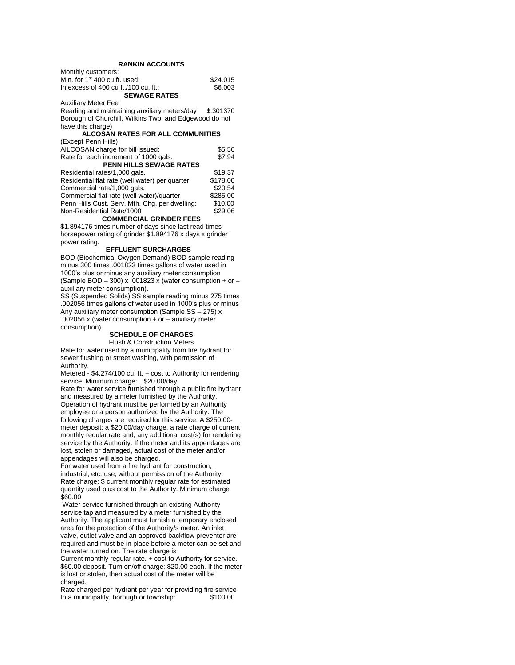### **RANKIN ACCOUNTS**

| Monthly customers:                   |          |
|--------------------------------------|----------|
| Min. for $1st$ 400 cu ft. used:      | \$24.015 |
| In excess of 400 cu ft./100 cu. ft.: | \$6.003  |
| <b>SEWAGE RATES</b>                  |          |

Auxiliary Meter Fee

Reading and maintaining auxiliary meters/day \$.301370 Borough of Churchill, Wilkins Twp. and Edgewood do not have this charge)

## **ALCOSAN RATES FOR ALL COMMUNITIES**

| (Except Penn Hills)                            |          |
|------------------------------------------------|----------|
| AILCOSAN charge for bill issued:               | \$5.56   |
| Rate for each increment of 1000 gals.          | \$7.94   |
| <b>PENN HILLS SEWAGE RATES</b>                 |          |
| Residential rates/1,000 gals.                  | \$19.37  |
| Residential flat rate (well water) per quarter | \$178.00 |
| Commercial rate/1,000 gals.                    | \$20.54  |
| Commercial flat rate (well water)/quarter      | \$285.00 |
| Penn Hills Cust. Serv. Mth. Chg. per dwelling: | \$10.00  |
| Non-Residential Rate/1000                      | \$29.06  |
|                                                |          |

#### **COMMERCIAL GRINDER FEES**

\$1.894176 times number of days since last read times horsepower rating of grinder \$1.894176 x days x grinder power rating.

#### **EFFLUENT SURCHARGES**

BOD (Biochemical Oxygen Demand) BOD sample reading minus 300 times .001823 times gallons of water used in 1000's plus or minus any auxiliary meter consumption (Sample BOD – 300) x .001823 x (water consumption + or – auxiliary meter consumption).

SS (Suspended Solids) SS sample reading minus 275 times .002056 times gallons of water used in 1000's plus or minus Any auxiliary meter consumption (Sample SS – 275) x .002056 x (water consumption + or – auxiliary meter consumption)

#### **SCHEDULE OF CHARGES**

Flush & Construction Meters Rate for water used by a municipality from fire hydrant for sewer flushing or street washing, with permission of Authority.

Metered - \$4.274/100 cu. ft. + cost to Authority for rendering service. Minimum charge: \$20.00/day

Rate for water service furnished through a public fire hydrant and measured by a meter furnished by the Authority. Operation of hydrant must be performed by an Authority employee or a person authorized by the Authority. The following charges are required for this service: A \$250.00 meter deposit; a \$20.00/day charge, a rate charge of current monthly regular rate and, any additional cost(s) for rendering service by the Authority. If the meter and its appendages are lost, stolen or damaged, actual cost of the meter and/or appendages will also be charged.

For water used from a fire hydrant for construction, industrial, etc. use, without permission of the Authority. Rate charge: \$ current monthly regular rate for estimated quantity used plus cost to the Authority. Minimum charge \$60.00

Water service furnished through an existing Authority service tap and measured by a meter furnished by the Authority. The applicant must furnish a temporary enclosed area for the protection of the Authority/s meter. An inlet valve, outlet valve and an approved backflow preventer are required and must be in place before a meter can be set and the water turned on. The rate charge is

Current monthly regular rate. + cost to Authority for service. \$60.00 deposit. Turn on/off charge: \$20.00 each. If the meter is lost or stolen, then actual cost of the meter will be charged.

Rate charged per hydrant per year for providing fire service<br>to a municipality, borough or township: \$100.00 to a municipality, borough or township: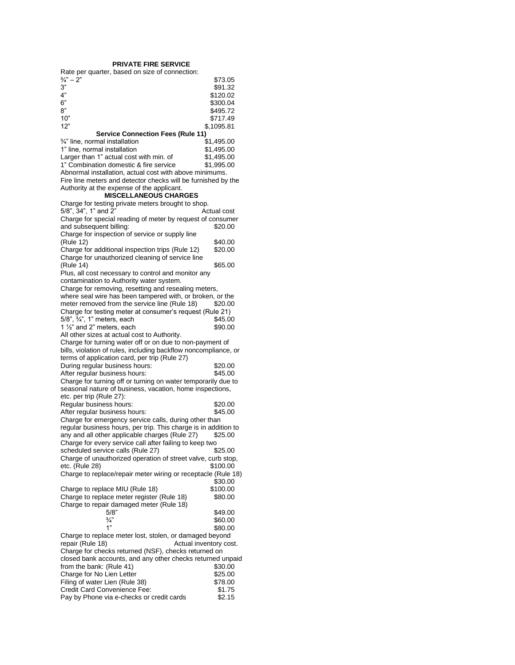#### **PRIVATE FIRE SERVICE**

Rate per quarter, based on size of connection:

| $\frac{3}{4}$ " – 2"                      | \$73.05    |
|-------------------------------------------|------------|
| 3"                                        | \$91.32    |
| 4"                                        | \$120.02   |
| 6"                                        | \$300.04   |
| 8"                                        | \$495.72   |
| 10"                                       | \$717.49   |
| 12"                                       | \$.1095.81 |
| <b>Service Connection Fees (Rule 11)</b>  |            |
| $\frac{3}{4}$ " line, normal installation | \$1.495.00 |

| 1" line, normal installation                            | \$1,495,00 |
|---------------------------------------------------------|------------|
| Larger than 1" actual cost with min. of                 | \$1.495.00 |
| 1" Combination domestic & fire service                  | \$1.995.00 |
| Abnormal installation, actual cost with above minimums. |            |

Fire line meters and detector checks will be furnished by the Authority at the expense of the applicant.

#### **MISCELLANEOUS CHARGES**

| Charge for testing private meters brought to shop.              |                  |
|-----------------------------------------------------------------|------------------|
| 5/8", 34", 1" and 2"                                            | Actual cost      |
| Charge for special reading of meter by request of consumer      |                  |
| and subsequent billing:                                         | \$20.00          |
| Charge for inspection of service or supply line                 |                  |
| (Rule 12)                                                       | \$40.00          |
| Charge for additional inspection trips (Rule 12)                | \$20.00          |
| Charge for unauthorized cleaning of service line                |                  |
| (Rule 14)                                                       | \$65.00          |
| Plus, all cost necessary to control and monitor any             |                  |
| contamination to Authority water system.                        |                  |
| Charge for removing, resetting and resealing meters,            |                  |
|                                                                 |                  |
| where seal wire has been tampered with, or broken, or the       |                  |
| meter removed from the service line (Rule 18)                   | \$20.00          |
| Charge for testing meter at consumer's request (Rule 21)        |                  |
| 5/8", 3/4", 1" meters, each                                     | \$45.00          |
| 1 $\frac{1}{2}$ and 2" meters, each                             | \$90.00          |
| All other sizes at actual cost to Authority.                    |                  |
| Charge for turning water off or on due to non-payment of        |                  |
| bills, violation of rules, including backflow noncompliance, or |                  |
| terms of application card, per trip (Rule 27)                   |                  |
| During regular business hours:                                  | \$20.00          |
| After regular business hours:                                   | \$45.00          |
| Charge for turning off or turning on water temporarily due to   |                  |
| seasonal nature of business, vacation, home inspections,        |                  |
| etc. per trip (Rule 27):                                        |                  |
| Regular business hours:                                         |                  |
|                                                                 |                  |
|                                                                 | \$20.00          |
| After regular business hours:                                   | \$45.00          |
| Charge for emergency service calls, during other than           |                  |
| regular business hours, per trip. This charge is in addition to |                  |
| any and all other applicable charges (Rule 27)                  | \$25.00          |
| Charge for every service call after failing to keep two         |                  |
| scheduled service calls (Rule 27)                               | \$25.00          |
| Charge of unauthorized operation of street valve, curb stop,    |                  |
| etc. (Rule 28)                                                  | \$100.00         |
| Charge to replace/repair meter wiring or receptacle (Rule 18)   |                  |
|                                                                 | \$30.00          |
| Charge to replace MIU (Rule 18)                                 | \$100.00         |
| Charge to replace meter register (Rule 18)                      | \$80.00          |
| Charge to repair damaged meter (Rule 18)                        |                  |
| 5/8"                                                            | \$49.00          |
| $\frac{3}{4}$                                                   | \$60.00          |
| 1"                                                              | \$80.00          |
| Charge to replace meter lost, stolen, or damaged beyond         |                  |
| Actual inventory cost.<br>repair (Rule 18)                      |                  |
| Charge for checks returned (NSF), checks returned on            |                  |
| closed bank accounts, and any other checks returned unpaid      |                  |
| from the bank: (Rule 41)                                        | \$30.00          |
| Charge for No Lien Letter                                       | \$25.00          |
|                                                                 | \$78.00          |
| Filing of water Lien (Rule 38)<br>Credit Card Convenience Fee:  |                  |
| Pay by Phone via e-checks or credit cards                       | \$1.75<br>\$2.15 |